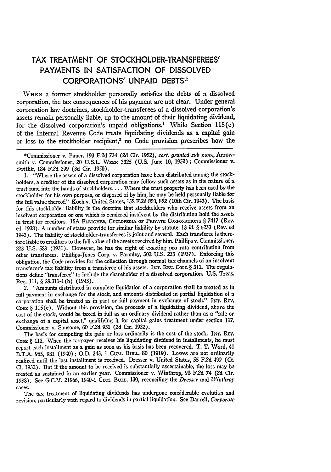## TAX TREATMENT OF STOCKHOLDER-TRANSFEREES' **PAYMENTS IN SATISFACTION** OF **DISSOLVED** CORPORATIONS' **UNPAID DEBTS\***

**WHEN** a former stockholder personally satisfies the debts of a dissolved corporation, the tax consequences of his payment are not clear. Under general corporation law doctrines, stockholder-transferees of a dissolved corporation's assets remain personally liable, up to the amount of their liquidating dividend, for the dissolved corporation's unpaid obligations.<sup>1</sup> While Section 115(c) of the Internal Revenue Code treats liquidating dividends as a capital gain or loss to the stockholder recipient,<sup>2</sup> no Code provision prescribes how the

1. "Where the assets of a dissolved corporation have been distributed among the stockholders, a creditor of the dissolved corporation may follow such assets as in the nature **of a** trust fund into the hands of stockholders.... Where the trust property has been used by the stockholder for his own purpose, or disposed of by him, he may be held personally liable for the full value thereof." Koch v. United States, **138** F **2d 850, 852** (10th Cir. 1943). The basis for this stockholder liability is the doctrine that stockholders who receive assets from an insolvent corporation or one which is rendered insolvent by the distribution hold the assets in trust for creditors. 15A FLETCHER, CYCLOPEDIA OF PRIVATE CORFORATIONS § 7417 (Rev. ed. 1938). **A** number of states provide for similar liability by statute. 13 *id.* § *6233* (Rev. ed 1943). The liability of stockholder-transferees is joint and several. Each transferee is therefore liable to creditors to the full value of the assets received **by** him. Phillips v. Commissioner, *283* U.S. 589 (1931). However, he has the right of exacting pro rata contribution from other transferees. Phillips-Jones Corp. v. Parmley, 302 U.S. 233 (1937). Enforcing this obligation, the Code provides for the collection through normal tax channels of an insolvent transferor's tax liability from a transferee of his assets. INT. REV. CODE § 311. The regulations define "transferee" to include the shareholder of a dissolved corporation. U.S. Treas. Reg. 111, § 29.311-1(b) (1943).

*2.* "Amounts distributed in complete liquidation of a corporation shall **be** treated as in full payment in exchange for the stock, and amounts distributed in partial liquidation of a corporation shall be treated as in part or full payment in exchange of stock." INT. REV. CODE  $\S$  115(c). Without this provision, the proceeds of a liquidating dividend, above the cost of the stock, would be taxed in full as an ordinary dividend rather than as a "sale or exchange of a capital asset," qualifying it for capital gains treatment under section **117.** Commissioner v. Sansome, 60 F.2d 931 **(2d** Cir. 1932).

The basis for computing the gain or loss ordinarily is the cost of the stock. INT. REV. CODE § 113. When the taxpayer receives his liquidating dividend in installments, he must report each installment as a gain as soon as his basis has been recovered. T. T. Word, 41 B.T.A. **965, 981** (1940); **O.D.** 343, **1** Cumr. Buu.. **SO (1919).** Losses are not ordinarily realized until the last installment is received. Dresser v. United States, **55 F.2d** 499 (Ct. **Cl.** 1932). But if the amount to be received is substantially ascertainable, the loss may be treated as sustained in an earlier year. Commissioner v. Winthrop, 93 **F.2d** 74 **(2d** Cir. 1938). See G.C.M. 21966, 1940-1 Cum. BuLL. 130, reconciling the *Dresser* and *Winthrop* cases.

The tax treatment of liquidating dividends has undergone considerable evolution and revision, particularly with regard to dividends in partial liquidation. See Darrell, *Corporate*

<sup>\*</sup>Commissioner v. Bauer, **193 F.2d** 734 **(2d** Cir. **1952),** *cert. granted sub notn.,* Arrowsmith v. Commissioner, 20 U.S.L. WEEK 3325 (U.S. June 10, 1952); Commissioner v. Switlik, 184 **F.2d 299 (3d** Cir. 1950).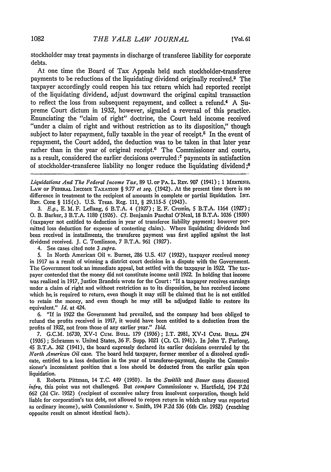stockholder may treat payments in discharge of transferee liability for corporate debts.

At one time the Board of Tax Appeals held such stockholder-transferee payments to be reductions of the liquidating dividend originally received.<sup> $3$ </sup> The taxpayer accordingly could reopen his tax return which had reported receipt of the liquidating dividend, adjust downward the original capital transaction to reflect the loss from subsequent repayment, and collect a refund.4 A Supreme Court dictum in 1932, however, signaled a reversal of this practice. Enunciating the "claim of right" doctrine, the Court held income received "under a claim of right and without restriction as to its disposition," though subject to later repayment, fully taxable in the year of receipt.<sup>5</sup> In the event of repayment, the Court added, the deduction was to be taken in that later year rather than in the year of original receipt.<sup>6</sup> The Commissioner and courts, as a result, considered the earlier decisions overruled :7 payments in satisfaction of stockholder-transferee liability no longer reduce the liquidating dividend **;8**

*Liquidations And The Federal Income Tax*, 89 U. of PA. L. REv. 907 (1941); 1 MERTENS, LAw **OF FEDERAL INcomE TAXATION** § *9.77 et seq.* (1942). At the present time there is no difference in treatment to the recipient of amounts in complete or partial liquidation, **INT. REV.** CODE § 115(c). U.S. Treas. Reg. 111, § 29.115-5 (1943).

*3. E.g.,* E. M. F. Leflang, 6 B.T.A. 4 (1927) ; **E.** F. Cremin, **5** B.T.A. 1164 (1927); **0.** B. Barker, 3 B.T.A. 1180 (1926). *Cf.* Benjamin Paschal O'Neal, 18 B.T.A. 1036 (1930) (taxpayer not entitled to deduction in year of transferee liability payment; however permitted loss deduction for expense of contesting claim). Where liquidating dividends **had** been received in installments, the transferee payment was first applied against the last dividend received. J. C. Tomlinson, 7 B.T.A. 961 (1927).

4. See cases cited note *3 supra.*

**5.** In North American Oil v. Burnet, 286 U.S. 417 (1932), taxpayer received money in 1917 as a result of winning a district court decision in a dispute with the Government. The Government took an immediate appeal, but settled with the taxpayer in **1922.** The taxpayer contended that the money did not constitute income until 1922. In holding that income was realized in 1917, Justice Brandeis wrote for the Court: "If a taxpayer receives earnings under a claim of right and without restriction as to its disposition, he has received income which he, is required to return, even though it may still be claimed that he is not entitled to retain the money, and even though he may still be adjudged liable to restore its equivalent." *Id.* at 424.

6. "If in 1922 the Government had prevailed, and the company had been obliged to refund the profits received in 1917, it would have been entitled to a deduction from **the** profits of **1922,** not from those of any earlier year." *Ibid.*

7. G.C.M. 16730, XV-1 Cum. BuLL. 179 (1936); I.T. 2981, XV-l **Cum.** *BULi.* 274 (1936) ; Schramm v. United States, 36 F. Supp. 1021 (Ct. **Cl.** 1941). In John T. Furlong, 45 B.T.A. 362 (1941), the board expressly declared its earlier decisions overruled **by** the *North Ainerican Oil* case. The board held taxpayer, former member of a dissolved syndicate, entitled to a loss deduction in the year of transferee-payment, despite the Commissioner's inconsistent position that a loss should be deducted from the earlier gain upon liquidation.

8. Roberta Pittman, 14 T.C. 449 (1950). In the *Switlik* and *Bauer* cases discussed *infra,* this point was not challenged. But *compare* Commissioner v. Hartfield, 194 F.2d **662** (2d Cir. 1952) (recipient of excessive salary from insolvent corporation, though held liable for corporation's tax debt, not allowed to reopen return in which salary was reported as ordinary income), *with* Commissioner v. Smith, 194 F.2d 536 (6th Cir. 1952) (reaching opposite result on almost identical facts).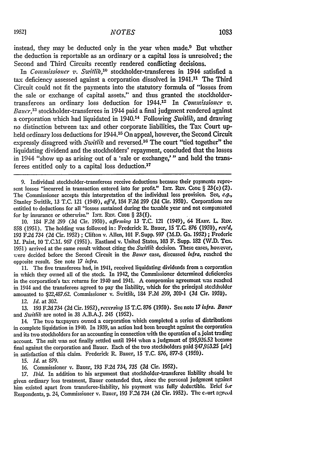instead, they may be deducted only in the year when made.9 But whether the deduction is reportable as an ordinary or a capital loss is unresolved; the Second and Third Circuits recently rendered conflicting decisions.

In *Commissioner v. Switlik*,<sup>10</sup> stockholder-transferees in 1944 satisfied a tax deficiency assessed against a corporation dissolved in 1941.<sup>11</sup> The Third Circuit could not fit the payments into the statutory formula of "losses from the sale or exchange of capital assets," and thus granted the stockholdertransferees an ordinary loss deduction for **1944.12** In *Commissioner v. Baucr,13* stockholder-transferees in 1944 paid a final judgment rendered against a corporation which had liquidated in 1940.14 Following *Switlik,* and drawing no distinction between tax and other corporate liabilities, the Tax Court upheld ordinary loss deductions for 1944.<sup>15</sup> On appeal, however, the Second Circuit expressly disagreed with *Switlik* and reversed.<sup>16</sup> The court "tied together" the liquidating dividend and the stockholders' repayment, concluded that the losses in 1944 "show up as arising out of a 'sale or exchange,'" and held the transferees entitled only to a capital loss deduction.<sup>17</sup>

9. Individual stockholder-transferees receive deductions because their payments represent losses "incurred in transaction entered into for profit." INT. REV. CODE § 23(e)(2). The Commissioner accepts this interpretation of the individual loss provision. See, **e.g.,** Stanley Switlik, **13 T.C.** 121 (1949), *aff'd,* 184 **F.2d 299** (3d Cir. **1950).** Corporations are entitled to deductions for all "losses sustained during the taxable year and not compensated for by insurance or otherwise." INT. REv. **CODE** § **23(f).**

10. 184 F.2d 299 (3d Cir. 1950), affirming 13 T.C. 121 (1949), 64 HARV. L. REV. **858 (1951).** The holding was followed in: Frederick R. Bauer, **15 T.C. 876 (1950),** *rev'd,* **193 F.2d** *734* **(2d** Cir. **1952) ;** Clifton v. Allen, **101** F. Supp. 997 **(M.D.** Ga. **1952) ;** Frederic  $M.$  Paist, 10 T.C.M. 967 (1951). Eastland v. United States, 103 F. Supp. 182 (W.D. Tex. 1951) arrived at the same result without citing the *Suitlik* decision. These cases, however, were decided before the Second Circuit in the *Bauer* case, discussed infra, reached the opposite result. See note **17** *infra.*

**11.** The five transferees had, in 1941, received liquidating dividends from a corporation in which they owned all of the stock. In 1942, the Commissioner determined deficiencies in the corporation's tax returns for 1940 and 1941. **A** compromise agreement vas reached in 1944 and the transferees agreed to pay the liability, which for the principal stockholder amounted to \$22,487.62. Commissioner v. Switlik, 184 **F.2d** 299, **300-1 (3d** Cir. **1950).**

*12. Id.* at **302.**

**13. 193 F.2d** 734 **(2d** Cir. 1952), *rezersing* **15 T.C. 876** (1950). **See** note **17** *if,:ra. Bauer* and *Switlik* are noted in **38** A.B.A.J. 245 (1952).

14. The two taxpayers owned a corporation which completed a series of distributions in complete liquidation in 1940. In **1939,** an action had been brought against the corporation and its two stockholders for an accounting in connection with the operation of a joint trading account. The suit was not finally settled until 1944 when a judgment of \$95,926.52 became final against the corporation and Bauer. Each of the two stockholders paid **\$47,963.25** *(sic]* in satisfaction of this claim. Frederick **R.** Bauer, 15 T.C. 876, **877-S** (1950).

15. *Id.* at 879.

16. Commissioner v. Bauer, **193** F.2d 734, 735 (2d Cir. 1952).

17. *Ibid.* In addition to his argument that stockholder-transferee liability should be given ordinary loss treatment, Bauer contended that, since the personal judgment against him existed apart from transferee-liability, his payment **was** fully deductible. Brief *iur* Respondents, **1.** 24, Commissioner v. Bauer, **193** F.2d 734 **(2d** Cir. **1952).** The court **agred**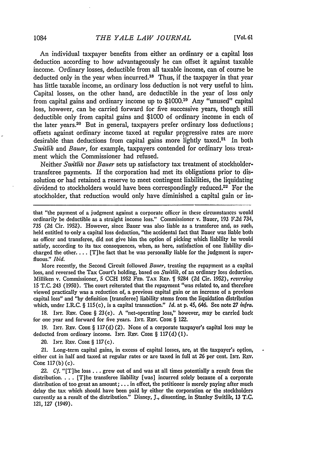An individual taxpayer benefits from either an ordinary or a capital loss deduction according to how advantageously he can offset it against taxable income. Ordinary losses, deductible from all taxable income, can of course be deducted only in the year when incurred.18 Thus, if the taxpayer in that year has little taxable income, an ordinary loss deduction is not very useful to him. Capital losses, on the other hand, are deductible in the year of loss only from capital gains and ordinary income up to \$1000.19 Any "unused" capital loss, however, can be carried forward for five successive years, though still deductible only from capital gains and \$1000 of ordinary income in each of the later years.<sup>20</sup> But in general, taxpayers prefer ordinary loss deductions; offsets against ordinary income taxed at regular progressive rates are more desirable than deductions from capital gains more lightly taxed.<sup>21</sup> In both *Switlik* and *Bauer,* for example, taxpayers contended for ordinary loss treatment which the Commissioner had refused.

Neither *Switlik* nor *Bauer* sets up satisfactory tax treatment of stockholdertransferee payments. If the corporation had met its obligations prior to dissolution or had retained a reserve to meet contingent liabilities, the liquidating dividend to stockholders would have been correspondingly reduced.<sup>22</sup> For the stockholder, that reduction would only have diminished a capital gain or in-

that "the payment of a judgment against a corporate officer in these circumstances would ordinarily be deductible as a straight income loss." Commissioner v. Bauer, 193 F.2d 734, *735* (2d Cir. 1952). However, since Bauer was also liable as a transferee and, as such, held entitled to only a capital loss deduction, "the accidental fact that Bauer was liable both as officer and transferee, did not give him the option of picking which liability he would satisfy, according to its tax consequences, when, as here, satisfaction of one liability discharged the other...  $[T]$ he fact that he was personally liable for the judgment is superfluous." *Ibid.*

More recently, the Second Circuit followed *Bauer,* treating the repayment as a capital loss, and reversed the Tax Court's holding, based on *Switlik,* of an ordinary loss deduction, Milliken v. Commissioner, **5 CCH** 1952 **FED.** TAX **REP.** 11 9284 (2d Cir. 1952), *reversing* 15 T.C. 243 (1950). The court reiterated that the repayment "was related to, and therefore viewed practically was a reduction of, a previous capital gain or an increase of a previous capital loss" and "by definition [transferee] liability stems from the liquidation distribution which, under I.R.C. § 115(c), is a capital transaction." *Id.* at **p.** 45, 646. **See** note 27 *inlra.*

**18. INT.** REv. **CODE §** 23(e). **A** "net-operating loss," however, may **be** carried back for one year and forward for five years. **INT.** REV. **CODE** § 122.

**19.** INT. REv. **CODE** § 117(d) (2). None of a corporate taxpayer's capital loss may **be** deducted from ordinary income. INT. REV. Code § 117(d)(1).

20. INT. REV. CODE § 117(c).

21. Long-term capital gains, in excess of capital losses, are, at the taxpayer's option, either cut in half and taxed at regular rates or are taxed in full at 26 per cent. **INT.** *REv.* CoDE 117(b) (c).

*22. Cf.* "[T]he loss **...** grew out of and was at all times potentially a result from the distribution **....** [T]he transferee liability [was] incurred solely because of a corporate distribution of too great an amount; **...** in effect, the petitioner is merely paying after much delay the tax which should have been paid by either the corporation or the stockholders currently as a result of the distribution." Disney, **J.,** dissenting, in Stanley Switlik, 13 **T.C.** 121, 127 (1949).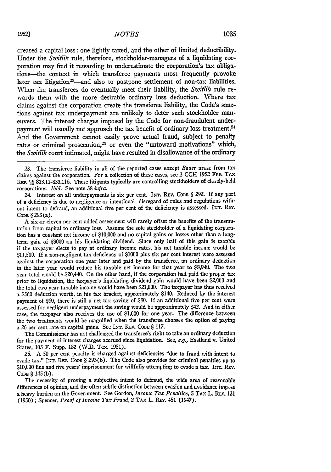creased a capital loss: one lightly taxed, and the other of limited deductibility. Under the *Switlik* rule, therefore, stockholder-managers of a liquidating corporation may find it rewarding to underestimate the corporation's tax obligations-the context in which transferee payments most frequently provoke later tax litigation<sup>23</sup>-and also to postpone settlement of non-tax liabilities. When the transferees do eventually meet their liability, the *Switlik* rule rewards them with the more desirable ordinary loss deduction. Where tax claims against the corporation create the transferee liability, the Code's sanctions against tax underpayment are unlikely to deter such stockholder maneuvers. The interest charges imposed **by** the Code for non-fraudulent underpayment will usually not approach the tax benefit of ordinary loss treatment.<sup>24</sup> And the Government cannot easily prove actual fraud, subject to penalty rates or criminal prosecution,<sup>25</sup> or even the "untoward motivations" which, the *Switlik* court intimated, might have resulted in disallowance of the ordinary

24. Interest on all underpayments is six per cent. INr. **REV. CODE** § 292. If any part of a deficiency is due to negligence or intentional disregard of rules and regulations without intent to defraud, an additional five per cent of the deficiency is assessed. INT. REV. CODE § **293** (a).

**A** six or eleven per cent added assessment will rarely offset the benefits of the transmutation from capital to ordinary loss. Assume the sole stockholder of a liquidating corporation has a constant net income of \$10,000 and no capital gains or losses other than a longterm gain of \$3000 on his liquidating dividend. Since only half of this gain is taxable if the taxpayer elects to pay at ordinary income rates, his net taxable income would **be** \$11,500. **If** a non-negligent tax deficiency of \$1000 plus six per cent interest vere assessed against the corporation one year later and paid by the transferee, an ordinary deduction in the later year would reduce his taxable net income for that year to \$8,940. The two year total would be \$20,440. On the other hand, if the corporation had paid the proper tax prior to liquidation, the taxpayer's liquidating dividend gain would have been \$2,000 and the total two year taxable income would have been \$21,000. The taxpayer has thus received a \$560 deduction worth, in his tax bracket, approximately \$140. Reduced by the interest payment of \$60, there is still a net tax saving of \$80. **If** an additional five per cent were assessed for negligent underpayment the saving would be approximately \$42 And in either case, the taxpayer also receives the use of \$1,000 for one year. The difference between the two treatments would be magnified when the transferee chooses the option of paying a 26 per cent rate on capital gains. See INT. REV. Code § 117.

The Commissioner has not challenged the transferee's right to take an ordinary deduction for the payment of interest charges accrued since liquidation. See, *e.g.,* Eastland v. United States, **103** F. Supp. **182** (W.D. Tex. **1951).**

**25. A** 50 per cent penalty is charged against deficiencies "due to fraud with intent to evade tax." INT. REV. Cone § 293(b). The Code also provides for criminal penalties up to **\$10,000** fine and five years' imprisonment for willfully attempting to evade a tax. **I.T. REv.** CoDE § 145 (b).

The necessity of proving a subjective intent to defraud, the wide area of reasonable differences of opinion, and the often subtle distinction between evasion and avoidance impuse a heavy burden on the Government. See Gordon, *Income Tax Penalties*, 5 TAX L. REV. 131 (1950) **;** Spencer, *Proof of Income Tax Fraud,* **2 TAx** L REv. 451 (1947).

**<sup>23.</sup>** The transferee liability in **all** of the reported cases except *Bauer* arose from tax claims against the corporation. For a collection of these cases, see 2 CCH 1952 FED. TAX REP. **III 833.11-833.116.** These litigants typically are controlling stockholders of closely-held corporations. *Ibid.* See note **38** *infra.*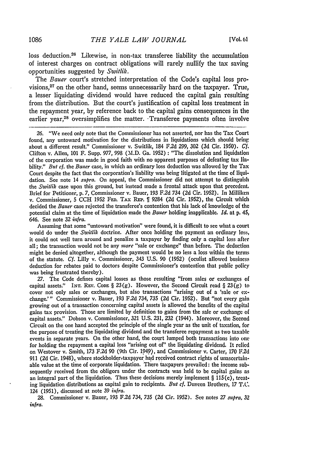loss deduction.26 Likewise, in non-tax transferee liability the accumulation of interest charges on contract obligations will rarely nullify the tax saving opportunities suggested by *Switlik.*

The *Bauer* court's stretched interpretation of the Code's capital loss provisions,27 on the other hand, seems unnecessarily hard on the taxpayer. True, a lesser liquidating dividend would have reduced the capital gain resulting from the distribution. But the court's justification of capital loss treatment in the repayment year, by reference back to the capital gains consequences in the earlier year,<sup>28</sup> oversimplifies the matter. Transferee payments often involve

26. "We need only note that the Commissioner has not asserted, nor has the Tax Court found, any untoward motivation for the distributions in liquidations which should bring about a different result." Commissioner v. Switlik, 184 F2d 299, 302 (3d Cir. 1950). *Cf.* Clifton v. Allen, 101 F. Supp. 977, 998 (M.D. Ga. 1952) : "The dissolution and liquidation of the corporation was made in good faith with no apparent purposes of defeating tax liability." But cf. *the Bauer* case, in which an ordinary loss deduction was allowed by the Tax Court despite the fact that the corporation's liability was being litigated at the time of liquidation. See note 14 *sztpra.* On appeal, the Commissioner did not attempt to distinguish the *Switlik* case upon this ground, but instead made a frontal attack upon that precedent. Brief for Petitioner, p. 7, Commissioner v. Bauer, 193 F.2d 734 (2d Cir. 1952). In Milliken v. Commissioner, 5 CCH 1952 **FED.** TAx **REP.** 1 9284 (2d Cir. 1952), the Circuit which decided the *Bauer* case rejected the transferee's contention that his lack of knowledge of the potential claim at the time of liquidation made the *Bauer* holding inapplicable. *Id.* at p. 45, 646. See note 32 *infra.*

Assuming that some "untoward motivation" were found, it is difficult to see what a court would do under the *Switlik* doctrine. After once holding the payment an ordinary loss, it could not well turn around and penalize a taxpayer by finding only a capital loss after all; the transaction would not be any *more* "sale or exchange" than before. The deduction might be denied altogether, although the payment would be no less a loss within the terms of the statute. *Cf.* Lilly v. Commissioner, 343 U.S. 90 (1952) (oculist allowed business deduction for rebates paid to doctors despite Commissioner's contention that public policy was being frustrated thereby).

27. The Code defines capital losses as those resulting "from sales or exchanges of capital assets." INT. REV. CODE § 23(g). However, the Second Circuit read § 23(g) to cover not only sales or exchanges, but also transactions "arising out of a 'sale or exchange.'" Commissioner v. Bauer, 193 F.2d 734, 735 (2d Cir. 1952). But "not every gain growing out of a transaction concerning capital assets is allowed the benefits of the capital gains tax provision. Those are limited by definition to gains from the sale or exchange of capital assets." Dobson v. Commissioner, 321 U.S. 231, 232 (1944). Moreover, the Second Circuit on the one hand accepted the principle of the single year as the unit of taxation, for the purpose of treating the liquidating dividend and the transferee repayment as two taxable events in separate years. On the other hand, the court lumped both transactions into one for holding the repayment a capital loss "arising out of" the liquidating dividend. It relied on Westover v. Smith, 173 F.2d 90 (9th Cir. 1949), and Commissioner v. Carter, 170 F.2d 911 (2d Cir. 1948), where stockholder-taxpayer had received contract rights of unascertainable value at the time of corporate liquidation. There taxpayers prevailed: the income subsequently received from the obligors under the contracts was held to be capital gains as an integral part of the liquidation. Thus these decisions merely implement  $\S$  115(c), treating liquidation distributions as capital gain to recipients. *But cf.* Duveen Brothers, 17 T.C. 124 (1951), discussed at note 39 *infra.*

28. Commissioner v. Bauer, 193 F.2d 734, 735 (2d Cir. 1952). **See** notes 27 *supra, 32 infra.*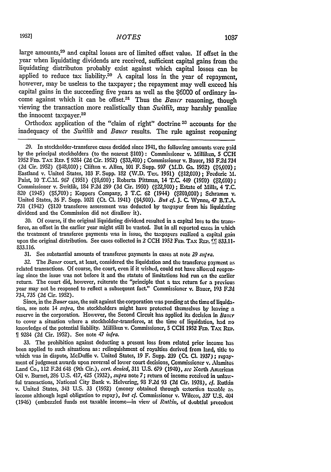large amounts, 29 and capital losses are of limited offset value. If offset in the year when liquidating dividends are received, sufficient capital gains from the liquidating distributon probably exist against which capital losses can be applied to reduce tax liability.<sup>30</sup> A capital loss in the year of repayment. however, may be useless to the taxpayer; the repayment may well exceed his capital gains in the succeeding five years as well as the \$6000 of ordinary income against which it can be offset.<sup>31</sup> Thus the *Baucr* reasoning, though viewing the transaction more realistically than *Switlik*, may harshly penalize the innocent taxpayer.<sup>32</sup>

Orthodox application of the "claim of right" doctrine **33** accounts for the inadequacy of the *Switlik and Baucr* results. The rule against reopening

29. In stockholder-transferee cases decided since 1941, the following amounts were paid by the principal stockholders (to the nearest \$100): Commissioner v. Milliken, S **CCH** 1952 **FED. TAX REP.** fi 9284 (2d Cir. **1952)** (\$03,400); Commissioner v. Bauer, **193 F.2d** 734 (2d Cir. 1952) (\$48,000) ; Clifton v. Allen, **101** F. Supp. **997** (M.D. Ga. **1952) (\$6,000) ;** Eastland v. United States, 103 F. Supp. 182 (W.D. Te.' **1951) (\$12,000);** Frederic M. Paist, 10 T.C.M. 967 (1951) (\$8,600); Roberta Pittman, 14 T.C. 449 (1950) (\$2,600); Commissioner v. Switlik, 184 F.2d 299 (3d Cir. 1950) (\$22,500); Estate of Mills, 4 T.C. 820 (1945) **(\$5,700);** Koppers Company, 3 T.C. **62** (1944) **(\$200,000);** Schramm v. United States, **36** F. Supp. 1021 (Ct. **Cl.** 1941) (\$4,900). *But cf.* **J.** C. Wynne, 47 B.T.A. **731** (1942) (\$120 transferee assessment vras deducted **by** taxpayer from his liquidating dividend and the Commission did not disallow it).

30. Of course, if the original liquidating dividend resulted in a capital loss to the transferee, an offset in the earlier year might still be wasted. But in all reported cases in which the treatment of transferee payments was in issue, the taxpayers realized a capital gain upon the original distribution. See cases collected in 2 CCH 1952 FED. TAX REP. [*i*] 833.11-833.116.

**31.** See substantial amounts of transferee payments in cases at note 29 *supra.*

32. The *Bauer* court, at least, considered the liquidation and the transferee payment as related transactions. Of course, the court, even if it wished, could not have allowed reopening since the issue was not before it and the statute of limitations had run on the earlier return. The court did, however, reiterate the "principle that a tax return for a previous year may not be reopened to reflect a subsequent fact." Commissioner v. Bauer, 193 **F2d** 734, 735 (2d Cir. 1952).

Since, in the *Bauer* case, the suit against the corporation was pending at the time of liquidation, see note 14 *supra,* the stockholders might have protected themselves by leaving a reserve in the corporation. However, the Second Circuit has applied its decision in *Baucr* to cover a situation where a stockholder-transferee, at the time of liquidation, had no knowledge of the potential liability. Milliken v. Commissioner, **5 CCH** 1952 **FED.** TAx REP. 1 9284 **(2d** Cir. 1952). See note 47 *infra.*

33. The prohibition against deducting a present loss from related prior income has been applied to such situations as: relinquishment of royalties derived from land, title to which was in dispute, McDuffie v. United States, 19 F. Supp. **239** (Ct. Cl. **1937) ;** repayment of judgment awards upon reversal of lower court decisions, Commissioner v. Alamitos Land Co., 112 F.2d 648 (9th Cir.), *cert. donied,* 311 U.S. 679 (1940), *see* North American Oil v. Burnet, 286 U.S. 417, 425 (1932), *supra* note **7;** return of income received in unlawful transactions, National City Bank v. Helvering, **93 F.2d 93 (2d** Cir. **1938),** cf. Rutkin v. United States, 343 U.S. 33 (1952) (money obtained through extortion taxable as income although legal obligation to repay), *but cf.* Commissioner v. Wilcox, 327 U.S. 404 (1946) (embezzled funds not taxable income-in view of *Ruthin,* of duubtful precedent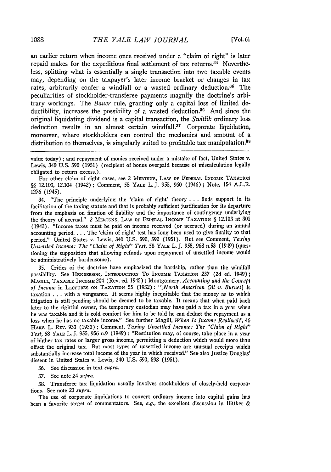an earlier return when income once received under a "claim of right" is later repaid makes for the expeditious final settlement of tax returns. $34$  Nevertheless, splitting what is essentially a single transaction into two taxable events may, depending on the taxpayer's later income bracket or changes in tax rates, arbitrarily confer a windfall or a wasted ordinary deduction.<sup>85</sup> The peculiarities of stockholder-transferee payments magnify the doctrine's arbitrary workings. The *Bauer* rule, granting only a capital loss of limited **de**ductibility, increases the possibility of a wasted deduction.<sup>36</sup> And since the original liquidating dividend is a capital transaction, the *Switlik* ordinary loss deduction results in an almost certain windfall.<sup>37</sup> Corporate liquidation, moreover, where stockholders can control the mechanics and amount of a distribution to themselves, is singularly suited to profitable tax manipulation.<sup>88</sup>

For other claim of right cases, see 2 MERTENs, LAW OF **FEDERAL** INcoME **TAXATION** *§§* 12.103, 12.104 (1942); Comment, **58** YALE L.J. **955,** 960 (1946); Note, 154 A.LR. 1276 (1945).

34. "The principle underlying the 'claim of right' theory **. . .** finds support in its facilitation of the taxing statute and that is probably sufficient justification for its departtre from the emphasis on fixation of liability and the importance of contingency underlying the theory of accrual." 2 MERTENS, LAW OF FEDERAL INcOmF TAXATION § 12.103 at **301** (1942). "Income taxes must be paid on income received (or accrued) during an annual accounting period.... The 'claim of right' test has long been used to give finality to that period." United States v. Lewis, 340 U.S. **590,** 592 (1951). But see Comment, *Taxing Unsettled Income: The "Claim of Right" Test,* 58 YALE L. **J.** 955, **968** n.53 (1949) (questioning the supposition that allowing refunds upon repayment of unsettled income would be administratively burdensome).

35. Critics of the doctrine have emphasized the hardship, rather than the windfall possibility. See **HENDERSON,** INTRODUCTION **To INCOME TAXATION** 237 **(2d ed.** 1949); **MAGILL,** TAXABLE **INcOME** 204 (Rev. ed. 1945) ; Montgomery, *Accounting and the Concept of Income* in LEcTUREs **ON TAXATION** 55 (1932) *"[North American Oil v. Burnet] is* taxation . **..** with a vengeance. It seems highly inequitable that the money as to which litigation is still pending should be deemed to be taxable. It means that when paid back later to the rightful owner, the temporary custodian may have paid a tax in a year when he was taxable and it is cold comfort for him to be told he can deduct the repayment as a loss when he has no taxable income." See further Magill, *When Is Income Realized?*, 46 **HARV.** L. REv. 933 (1933) **;** Comment, *Taxing Unsettled Income: The "Claim of Right" Test,* 58 YALE L. J. 955, 956 n.9 (1949) : "Restitution may, of course, take place in a year of higher tax rates or larger gross income, permitting a deduction which would more than offset the original tax. But most types of unsettled income are unusual receipts which substantially increase total income of the year in which received." See also Justice Douglas' dissent in United States v. Lewis, 340 U.S. 590, **592** (1951).

36. See discussion in text *supra.*

*37.* See note 24 *supra.*

38. Transferee tax liquidation usually involves stockholders of closely-held corporations. See note 23 *supra.*

The use of corporate liquidations to convert ordinary income into capital gains **has** been a favorite target of commentators. See, *e.g.,* the excellent discussion in 11ittker &

value today) ; and repayment of monies received under a mistake of fact, United States **v.** Lewis, 340 **U.S. 590 (1951)** (recipient of bonus overpaid because of miscalculation legally obligated to return excess.).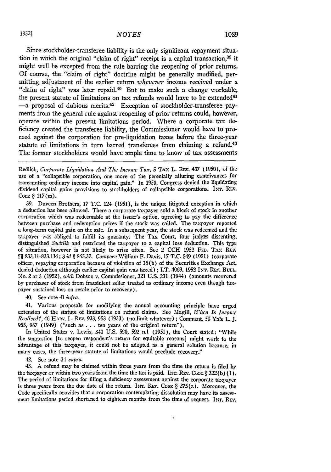Since stockholder-transferee liability is the only significant repayment situation in which the original "claim of right" receipt is a capital transaction.<sup>39</sup> it might well be excepted from the rule barring the reopening of prior returns. Of course, the "claim of right" doctrine might be generally modified, permitting adjustment of the earlier return *whencver* income received under a "claim of right" was later repaid.<sup>40</sup> But to make such a change workable, the present statute of limitations on tax refunds would have to be extended<sup>41</sup> -a proposal of dubious merits.<sup>42</sup> Exception of stockholder-transferee payments from the general rule against reopening of prior returns could, however, operate within the present limitations period. Where a corporate tax deficiency created the transferee liability, the Commissioner would have to proceed against the corporation for pre-liquidation taxes before the three-year statute of limitations in turn barred transferees from claiming a refund.<sup>43</sup> The former stockholders would have ample time to know of tax assessments

Redlich, *Corporate Liquidation And* The *Icome Tax,* **5 TAx** L. REv. 437 **(1950),** of the use of a "collapsible corporation, one more of the perenially alluring contrivances for transmuting ordinary income into capital gain." In 1950, Congress denied the liquidating dividend capital gains provisions to stockholders of collapsible corporations. INT. REV. CoDE § 117(m).

39. Duveen Brothers, 17 T.C. 124 (1951), is the unique litigated exception in vhich a deduction has been allowed. There a corporate taxpayer sold a block of stock in another corporation which **was** redeemable at the issuer's option, agreeing to pay the difference between purchase and redemption prices if the stock was called. The taxpayer reported a long-term capital gain on the sale. In a subsequent year, the stock was redeemed and the taxpayer was obliged to fulfill its guaranty. The Tax Court, four judges dissenting, distinguished *Switlik* and restricted the taxpayer to a capital loss deduction. This type of situation, however is not likely to arise often. See 2 CCH 1952 FED. **TAX** REi'. **ff** 833.11-833.116; 3 *id* 865.37. *Compare* ,Villiam F. Davis. 17 T.C. 549 (1951) (corporate officer, repaying corporation because of violation of 16(b) of the Securities Exchange Act. denied deduction although earlier capital gain was taxed); I.T. 4069, 1952 INT. REV. BULL. No. 2 at 3 (1952), *'ith* Dobson v. Commissioner, 321 U.S. 231 (1944) (amounts recovered by purchaser of stock from fraudulent seller treated as ordinary income even though taxpayer sustained loss on resale prior to recovery).

40. See note 41 *infra.*

41. Various proposals for modifying the annual accounting principle have urged extension of the statute of limitations on refund claims. See Magill, *II'hen Is Income Realied?, 46* **HIRYv.** L. Rv. **933, 953 (1933)** (no limit whatever) **;** Comment, **53** Yale L. **J. 955, 967** (1949) ("such as **...**ten years of the original return").

In United States **v.** Lewis, 340 **U.S. 590, 592 n.l (1951),** the Court stated: "While the suggestion [to reopen respondent's return for equitable reasons] might **worl:** to the advantage of this taxpayer, it could not be adopted as a general solution because, in many cases, the three-year statute of limitations would preclude recovery."

42. See note 34 *supra.*

43. **A** refund may be claimed within three years from the time the return is **filed** by the taxpayer or within two years from the time the tax is paid. INT. REV. Cupz  $\S 322(b)$  (1). The period of limitations for filing a deficiency assessment against the corporate taxpayer is three years from the due date of the return. INT. REV. CODE  $\S 275(a)$ . Moreover, the Code specifically provides that a corporation contemplating dissolution may have its assessment limitations period shortened to eighteen months from the time of request. INT. REV.

 $\ddot{\phantom{0}}$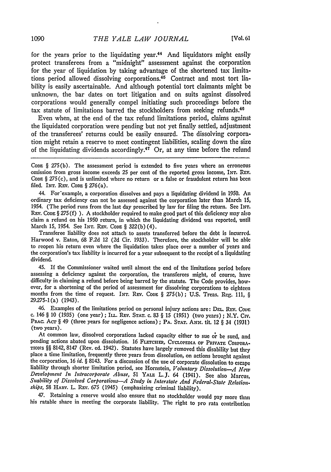for the years prior to the liquidating year.<sup>44</sup> And liquidators might easily protect transferees from a "midnight" assessment against the corporation for the year of liquidation by taking advantage of the shortened tax limitations period allowed dissolving corporations.<sup>45</sup> Contract and most tort liability is easily ascertainable. And although potential tort claimants might be unknown, the bar dates on tort litigation and on suits against dissolved corporations would generally compel initiating such proceedings before the tax statute of limitations barred the stockholders from seeking refunds.40

Even when, at the end of the tax refund limitations period, claims against the liquidated corporation were pending but not yet finally settled, adjustment of the transferees' returns could be easily ensured. The dissolving corporation might retain a reserve to meet contingent liabilities, scaling down the size of the liquidating dividends accordingly.<sup>47</sup> Or, at any time before the refund

44. For'example, a corporation dissolves and pays a liquidating dividend in 1950. An ordinary tax deficiency can not be assessed against the corporation later than March 15, 1954. (The period runs from the last day prescribed **by** law for filing the return. See IVT. REV. **CODE** § **275 (f) ). A** stockholder required to make good part of this deficiency may also claim a refund on his **1950** return, in which the liquidating dividend was reported, until March **15,** 1954. See INT. REV. **CODE** § 322(b) (4).

Transferee liability does not attach to assets transferred before the debt is incurred. Harwood v. Eaton, **68 F.2d** 12 **(2d** Cir. 1933). Therefore, the stockholder will **be able** to reopen his return even where the liquidation takes place over a number of years and the corporation's tax liability is incurred for a year subsequent to the receipt of a liquidating dividend.

45. If the Commissioner waited until almost the end of the limitations period before assessing a deficiency against the corporation, the transferees might, of course, **have** difficulty in claiming a refund before being barred **by** the statute. The Code provides, however, for a shortening of the period of assessment for dissolving corporations to eighteen months from the time of request. **INT.** REV. **CODE** § **275(b); U.S.** Treas. Reg. **111,** § **29275-1** (a) (1943).

46. Examples of the limitations period on personal injury actions are: DaL. REV. Cow: c. 146 § 10 (1935) (one year); **ILL.** REv. **STAT.** c. 83 § **15** (1951) (two years); N.Y. Civ. PRAC. Acr § 49 (three years for negligence actions); PA. STAT. ANN. tit. 12 § 34 (1931) (two years).

At common law, dissolved corporations lacked capacity either to sue or be sued, and pending actions abated upon dissolution. 16 FLETCHER, CYCLOPEDIA OF PRIVATE CORPORA-TIONs §§ 8142, 8147 (Rev. ed. 1942). Statutes have largely removed this disability but they place a time limitation, frequently three years from dissolution, on actions brought against the corporation, 16 *id. §* 8143. For a discussion of the use of corporate dissolution to escape liability through shorter limitation period, see Hornstein, *Voluntary Dissolutiotn--A New Development In lItracorporate Abuse,* <sup>51</sup>**YALE** L.J. 64 (1941). See also Marcus, *Suability of Dissolved Corporations-A Study in Interstate And Federal-State Relation. ships,* **58** HARv. L. REv. **675** (1945) (emphasizing criminal liability).

47. Retaining a reserve would also ensure that no stockholder would pay more than his ratable share in meeting the corporate liability. The right to pro rata contribution

**CODE** § **275** (b). The assessment period is extended to five years where an erroneous omission from gross income exceeds **25** per cent of the reported gross income, INT. REV. **CODE** § **275** (c), and is unlimited where no return or a false or fraudulent return has been filed. **INT. REV. CODE** § 276(a).